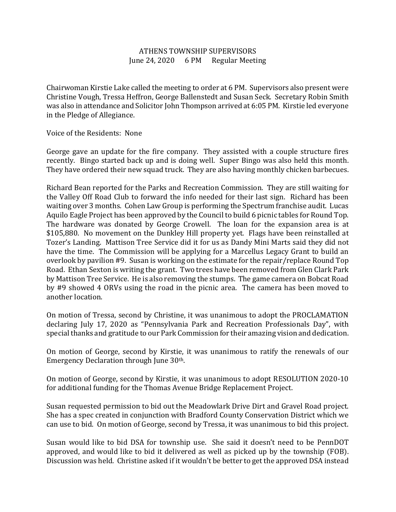## ATHENS TOWNSHIP SUPERVISORS June 24, 2020 6 PM Regular Meeting

Chairwoman Kirstie Lake called the meeting to order at 6 PM. Supervisors also present were Christine Vough, Tressa Heffron, George Ballenstedt and Susan Seck. Secretary Robin Smith was also in attendance and Solicitor John Thompson arrived at 6:05 PM. Kirstie led everyone in the Pledge of Allegiance.

Voice of the Residents: None

George gave an update for the fire company. They assisted with a couple structure fires recently. Bingo started back up and is doing well. Super Bingo was also held this month. They have ordered their new squad truck. They are also having monthly chicken barbecues.

Richard Bean reported for the Parks and Recreation Commission. They are still waiting for the Valley Off Road Club to forward the info needed for their last sign. Richard has been waiting over 3 months. Cohen Law Group is performing the Spectrum franchise audit. Lucas Aquilo Eagle Project has been approved by the Council to build 6 picnic tables for Round Top. The hardware was donated by George Crowell. The loan for the expansion area is at \$105,880. No movement on the Dunkley Hill property yet. Flags have been reinstalled at Tozer's Landing. Mattison Tree Service did it for us as Dandy Mini Marts said they did not have the time. The Commission will be applying for a Marcellus Legacy Grant to build an overlook by pavilion #9. Susan is working on the estimate for the repair/replace Round Top Road. Ethan Sexton is writing the grant. Two trees have been removed from Glen Clark Park by Mattison Tree Service. He is also removing the stumps. The game camera on Bobcat Road by #9 showed 4 ORVs using the road in the picnic area. The camera has been moved to another location.

On motion of Tressa, second by Christine, it was unanimous to adopt the PROCLAMATION declaring July 17, 2020 as "Pennsylvania Park and Recreation Professionals Day", with special thanks and gratitude to our Park Commission for their amazing vision and dedication.

On motion of George, second by Kirstie, it was unanimous to ratify the renewals of our Emergency Declaration through June 30th.

On motion of George, second by Kirstie, it was unanimous to adopt RESOLUTION 2020-10 for additional funding for the Thomas Avenue Bridge Replacement Project.

Susan requested permission to bid out the Meadowlark Drive Dirt and Gravel Road project. She has a spec created in conjunction with Bradford County Conservation District which we can use to bid. On motion of George, second by Tressa, it was unanimous to bid this project.

Susan would like to bid DSA for township use. She said it doesn't need to be PennDOT approved, and would like to bid it delivered as well as picked up by the township (FOB). Discussion was held. Christine asked if it wouldn't be better to get the approved DSA instead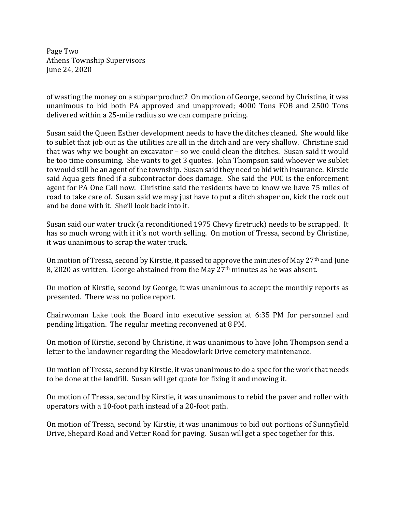Page Two Athens Township Supervisors June 24, 2020

of wasting the money on a subpar product? On motion of George, second by Christine, it was unanimous to bid both PA approved and unapproved; 4000 Tons FOB and 2500 Tons delivered within a 25-mile radius so we can compare pricing.

Susan said the Queen Esther development needs to have the ditches cleaned. She would like to sublet that job out as the utilities are all in the ditch and are very shallow. Christine said that was why we bought an excavator – so we could clean the ditches. Susan said it would be too time consuming. She wants to get 3 quotes. John Thompson said whoever we sublet to would still be an agent of the township. Susan said they need to bid with insurance. Kirstie said Aqua gets fined if a subcontractor does damage. She said the PUC is the enforcement agent for PA One Call now. Christine said the residents have to know we have 75 miles of road to take care of. Susan said we may just have to put a ditch shaper on, kick the rock out and be done with it. She'll look back into it.

Susan said our water truck (a reconditioned 1975 Chevy firetruck) needs to be scrapped. It has so much wrong with it it's not worth selling. On motion of Tressa, second by Christine, it was unanimous to scrap the water truck.

On motion of Tressa, second by Kirstie, it passed to approve the minutes of May 27<sup>th</sup> and June 8, 2020 as written. George abstained from the May 27<sup>th</sup> minutes as he was absent.

On motion of Kirstie, second by George, it was unanimous to accept the monthly reports as presented. There was no police report.

Chairwoman Lake took the Board into executive session at 6:35 PM for personnel and pending litigation. The regular meeting reconvened at 8 PM.

On motion of Kirstie, second by Christine, it was unanimous to have John Thompson send a letter to the landowner regarding the Meadowlark Drive cemetery maintenance.

On motion of Tressa, second by Kirstie, it was unanimous to do a spec for the work that needs to be done at the landfill. Susan will get quote for fixing it and mowing it.

On motion of Tressa, second by Kirstie, it was unanimous to rebid the paver and roller with operators with a 10-foot path instead of a 20-foot path.

On motion of Tressa, second by Kirstie, it was unanimous to bid out portions of Sunnyfield Drive, Shepard Road and Vetter Road for paving. Susan will get a spec together for this.